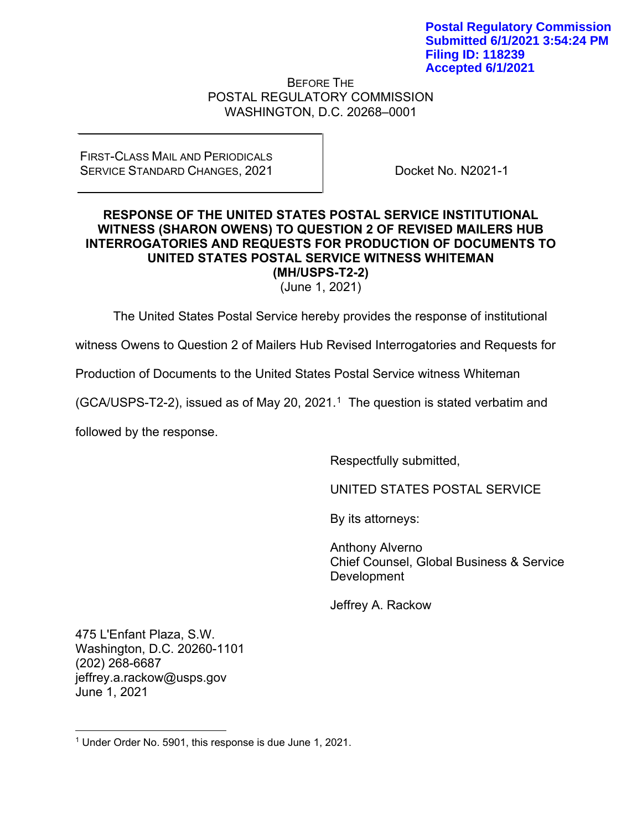BEFORE THE POSTAL REGULATORY COMMISSION WASHINGTON, D.C. 20268–0001

## FIRST-CLASS MAIL AND PERIODICALS SERVICE STANDARD CHANGES, 2021

Docket No. N2021-1

## **RESPONSE OF THE UNITED STATES POSTAL SERVICE INSTITUTIONAL WITNESS (SHARON OWENS) TO QUESTION 2 OF REVISED MAILERS HUB INTERROGATORIES AND REQUESTS FOR PRODUCTION OF DOCUMENTS TO UNITED STATES POSTAL SERVICE WITNESS WHITEMAN (MH/USPS-T2-2)**

(June 1, 2021)

The United States Postal Service hereby provides the response of institutional

witness Owens to Question 2 of Mailers Hub Revised Interrogatories and Requests for

Production of Documents to the United States Postal Service witness Whiteman

(GCA/USPS-T2-2), issued as of May 20, 202[1](#page-0-0).<sup>1</sup> The question is stated verbatim and

followed by the response.

Respectfully submitted,

UNITED STATES POSTAL SERVICE

By its attorneys:

Anthony Alverno Chief Counsel, Global Business & Service Development

Jeffrey A. Rackow

475 L'Enfant Plaza, S.W. Washington, D.C. 20260-1101 (202) 268-6687 jeffrey.a.rackow@usps.gov June 1, 2021

<span id="page-0-0"></span><sup>1</sup> Under Order No. 5901, this response is due June 1, 2021.